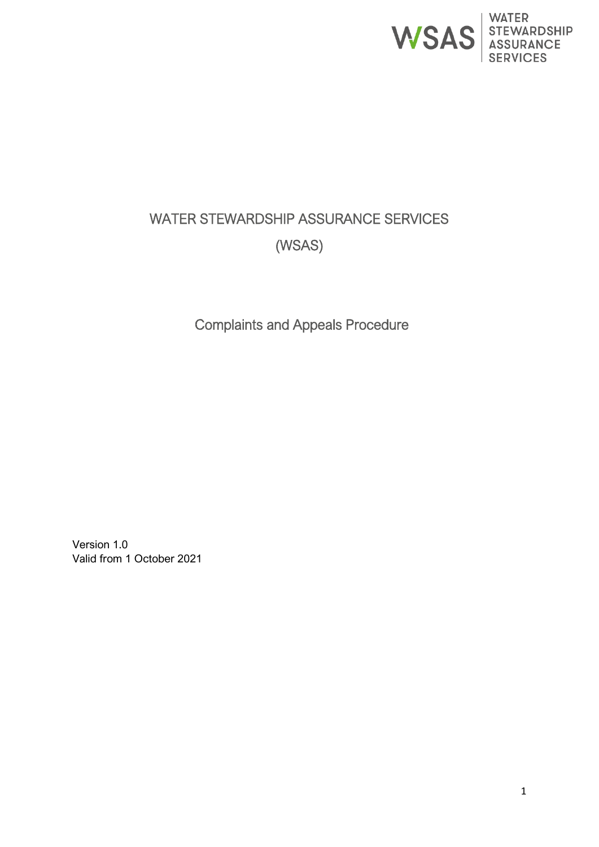

# WATER STEWARDSHIP ASSURANCE SERVICES (WSAS)

Complaints and Appeals Procedure

Version 1.0 Valid from 1 October 2021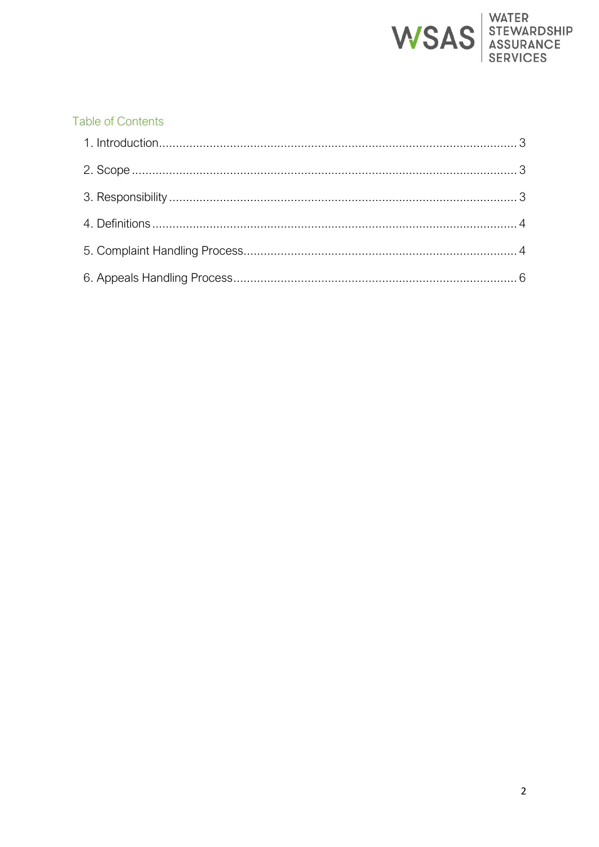

# **Table of Contents**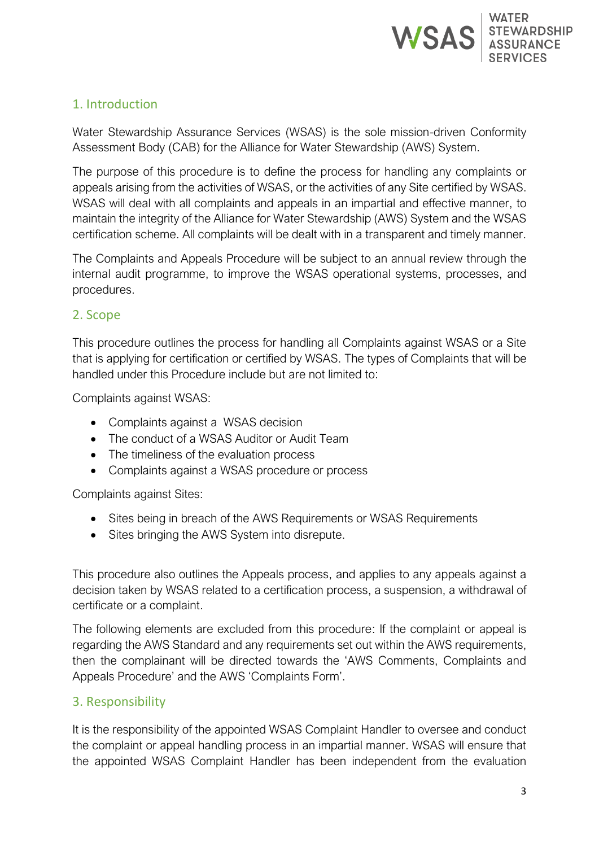

## <span id="page-2-0"></span>1. Introduction

Water Stewardship Assurance Services (WSAS) is the sole mission-driven Conformity Assessment Body (CAB) for the Alliance for Water Stewardship (AWS) System.

The purpose of this procedure is to define the process for handling any complaints or appeals arising from the activities of WSAS, or the activities of any Site certified by WSAS. WSAS will deal with all complaints and appeals in an impartial and effective manner, to maintain the integrity of the Alliance for Water Stewardship (AWS) System and the WSAS certification scheme. All complaints will be dealt with in a transparent and timely manner.

The Complaints and Appeals Procedure will be subject to an annual review through the internal audit programme, to improve the WSAS operational systems, processes, and procedures.

#### <span id="page-2-1"></span>2. Scope

This procedure outlines the process for handling all Complaints against WSAS or a Site that is applying for certification or certified by WSAS. The types of Complaints that will be handled under this Procedure include but are not limited to:

Complaints against WSAS:

- Complaints against a WSAS decision
- The conduct of a WSAS Auditor or Audit Team
- The timeliness of the evaluation process
- Complaints against a WSAS procedure or process

Complaints against Sites:

- Sites being in breach of the AWS Requirements or WSAS Requirements
- Sites bringing the AWS System into disrepute.

This procedure also outlines the Appeals process, and applies to any appeals against a decision taken by WSAS related to a certification process, a suspension, a withdrawal of certificate or a complaint.

The following elements are excluded from this procedure: If the complaint or appeal is regarding the AWS Standard and any requirements set out within the AWS requirements, then the complainant will be directed towards the 'AWS Comments, Complaints and Appeals Procedure' and the AWS 'Complaints Form'.

### <span id="page-2-2"></span>3. Responsibility

It is the responsibility of the appointed WSAS Complaint Handler to oversee and conduct the complaint or appeal handling process in an impartial manner. WSAS will ensure that the appointed WSAS Complaint Handler has been independent from the evaluation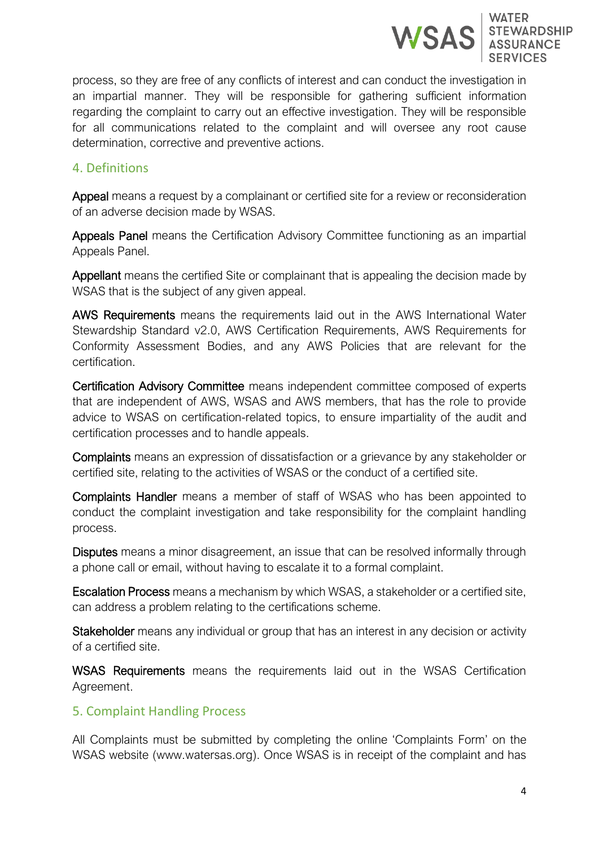

process, so they are free of any conflicts of interest and can conduct the investigation in an impartial manner. They will be responsible for gathering sufficient information regarding the complaint to carry out an effective investigation. They will be responsible for all communications related to the complaint and will oversee any root cause determination, corrective and preventive actions.

#### <span id="page-3-0"></span>4. Definitions

Appeal means a request by a complainant or certified site for a review or reconsideration of an adverse decision made by WSAS.

Appeals Panel means the Certification Advisory Committee functioning as an impartial Appeals Panel.

Appellant means the certified Site or complainant that is appealing the decision made by WSAS that is the subject of any given appeal.

AWS Requirements means the requirements laid out in the AWS International Water Stewardship Standard v2.0, AWS Certification Requirements, AWS Requirements for Conformity Assessment Bodies, and any AWS Policies that are relevant for the certification.

Certification Advisory Committee means independent committee composed of experts that are independent of AWS, WSAS and AWS members, that has the role to provide advice to WSAS on certification-related topics, to ensure impartiality of the audit and certification processes and to handle appeals.

Complaints means an expression of dissatisfaction or a grievance by any stakeholder or certified site, relating to the activities of WSAS or the conduct of a certified site.

Complaints Handler means a member of staff of WSAS who has been appointed to conduct the complaint investigation and take responsibility for the complaint handling process.

Disputes means a minor disagreement, an issue that can be resolved informally through a phone call or email, without having to escalate it to a formal complaint.

Escalation Process means a mechanism by which WSAS, a stakeholder or a certified site, can address a problem relating to the certifications scheme.

Stakeholder means any individual or group that has an interest in any decision or activity of a certified site.

WSAS Requirements means the requirements laid out in the WSAS Certification Agreement.

#### <span id="page-3-1"></span>5. Complaint Handling Process

All Complaints must be submitted by completing the online 'Complaints Form' on the WSAS website (www.watersas.org). Once WSAS is in receipt of the complaint and has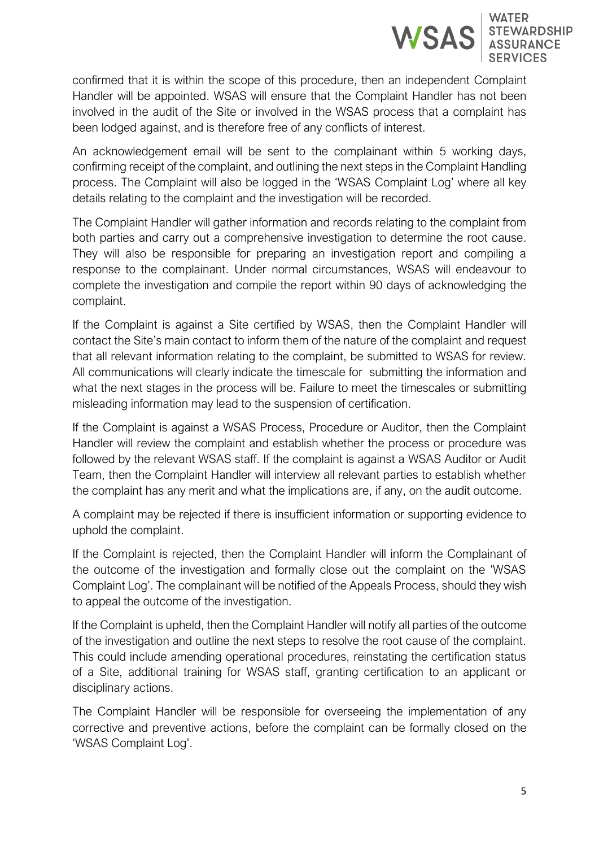

confirmed that it is within the scope of this procedure, then an independent Complaint Handler will be appointed. WSAS will ensure that the Complaint Handler has not been involved in the audit of the Site or involved in the WSAS process that a complaint has been lodged against, and is therefore free of any conflicts of interest.

An acknowledgement email will be sent to the complainant within 5 working days, confirming receipt of the complaint, and outlining the next steps in the Complaint Handling process. The Complaint will also be logged in the 'WSAS Complaint Log' where all key details relating to the complaint and the investigation will be recorded.

The Complaint Handler will gather information and records relating to the complaint from both parties and carry out a comprehensive investigation to determine the root cause. They will also be responsible for preparing an investigation report and compiling a response to the complainant. Under normal circumstances, WSAS will endeavour to complete the investigation and compile the report within 90 days of acknowledging the complaint.

If the Complaint is against a Site certified by WSAS, then the Complaint Handler will contact the Site's main contact to inform them of the nature of the complaint and request that all relevant information relating to the complaint, be submitted to WSAS for review. All communications will clearly indicate the timescale for submitting the information and what the next stages in the process will be. Failure to meet the timescales or submitting misleading information may lead to the suspension of certification.

If the Complaint is against a WSAS Process, Procedure or Auditor, then the Complaint Handler will review the complaint and establish whether the process or procedure was followed by the relevant WSAS staff. If the complaint is against a WSAS Auditor or Audit Team, then the Complaint Handler will interview all relevant parties to establish whether the complaint has any merit and what the implications are, if any, on the audit outcome.

A complaint may be rejected if there is insufficient information or supporting evidence to uphold the complaint.

If the Complaint is rejected, then the Complaint Handler will inform the Complainant of the outcome of the investigation and formally close out the complaint on the 'WSAS Complaint Log'. The complainant will be notified of the Appeals Process, should they wish to appeal the outcome of the investigation.

If the Complaint is upheld, then the Complaint Handler will notify all parties of the outcome of the investigation and outline the next steps to resolve the root cause of the complaint. This could include amending operational procedures, reinstating the certification status of a Site, additional training for WSAS staff, granting certification to an applicant or disciplinary actions.

The Complaint Handler will be responsible for overseeing the implementation of any corrective and preventive actions, before the complaint can be formally closed on the 'WSAS Complaint Log'.